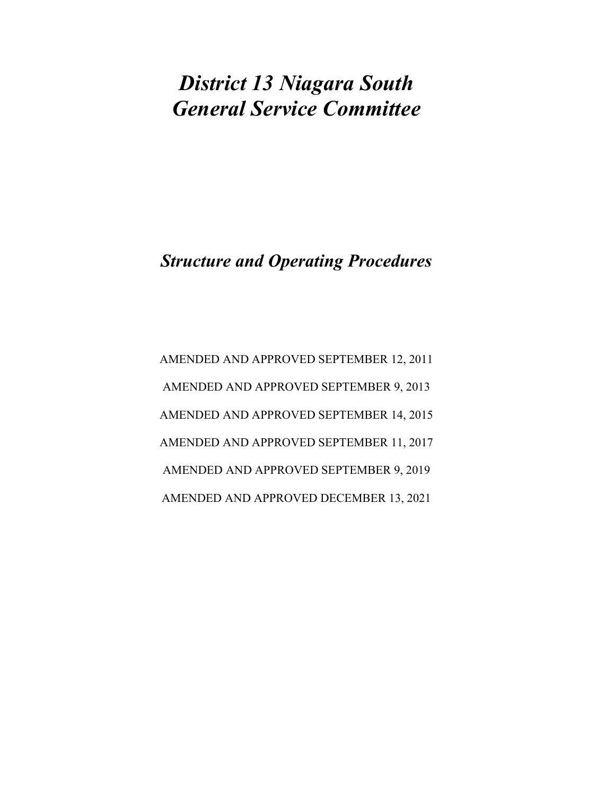## District 13 Niagara South General Service Committee

## Structure and Operating Procedures

AMENDED AND APPROVED SEPTEMBER 12, 2011 AMENDED AND APPROVED SEPTEMBER 9, 2013 AMENDED AND APPROVED SEPTEMBER 14, 2015 AMENDED AND APPROVED SEPTEMBER 11, 2017 AMENDED AND APPROVED SEPTEMBER 9, 2019 AMENDED AND APPROVED DECEMBER 13, 2021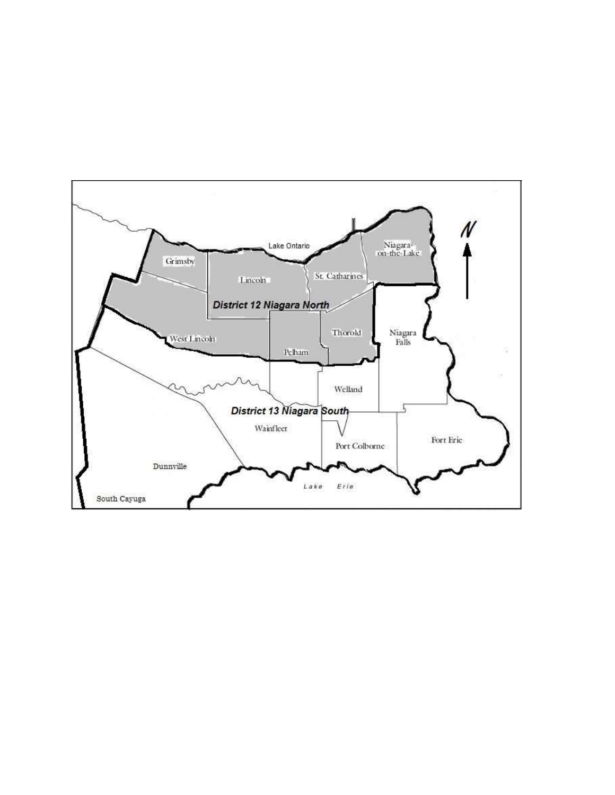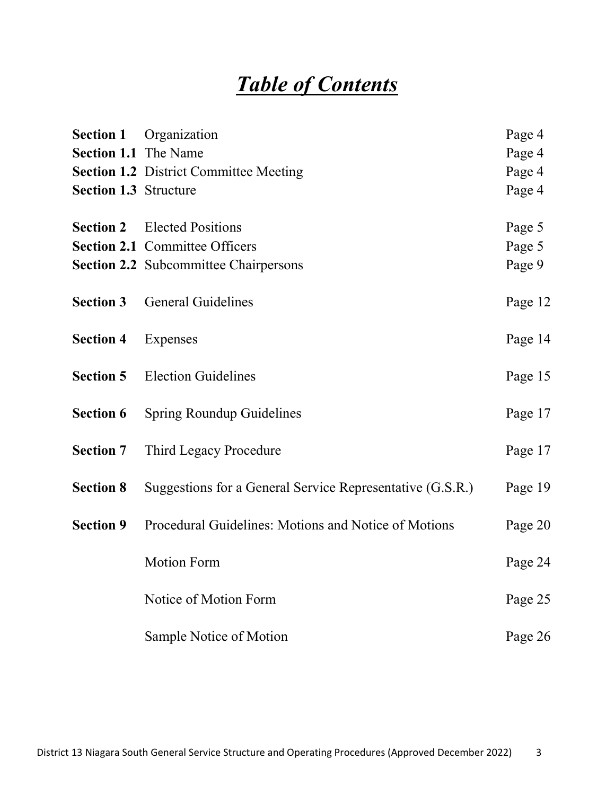# Table of Contents

| <b>Section 1</b>             | Organization                                              | Page 4  |
|------------------------------|-----------------------------------------------------------|---------|
| <b>Section 1.1</b> The Name  |                                                           | Page 4  |
|                              | <b>Section 1.2 District Committee Meeting</b>             | Page 4  |
| <b>Section 1.3 Structure</b> |                                                           | Page 4  |
| <b>Section 2</b>             | <b>Elected Positions</b>                                  | Page 5  |
|                              | <b>Section 2.1 Committee Officers</b>                     | Page 5  |
|                              | <b>Section 2.2</b> Subcommittee Chairpersons              | Page 9  |
| <b>Section 3</b>             | <b>General Guidelines</b>                                 | Page 12 |
| <b>Section 4</b>             | Expenses                                                  | Page 14 |
| <b>Section 5</b>             | <b>Election Guidelines</b>                                | Page 15 |
| <b>Section 6</b>             | <b>Spring Roundup Guidelines</b>                          | Page 17 |
| <b>Section 7</b>             | Third Legacy Procedure                                    | Page 17 |
| <b>Section 8</b>             | Suggestions for a General Service Representative (G.S.R.) | Page 19 |
| <b>Section 9</b>             | Procedural Guidelines: Motions and Notice of Motions      | Page 20 |
|                              | <b>Motion Form</b>                                        | Page 24 |
|                              | Notice of Motion Form                                     | Page 25 |
|                              | Sample Notice of Motion                                   | Page 26 |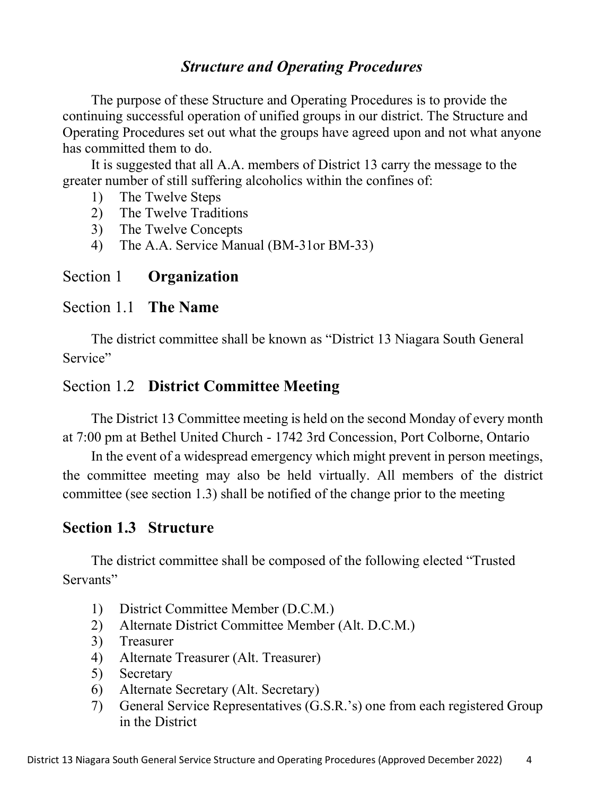### Structure and Operating Procedures

The purpose of these Structure and Operating Procedures is to provide the continuing successful operation of unified groups in our district. The Structure and Operating Procedures set out what the groups have agreed upon and not what anyone has committed them to do.

It is suggested that all A.A. members of District 13 carry the message to the greater number of still suffering alcoholics within the confines of:

- 1) The Twelve Steps
- 2) The Twelve Traditions
- 3) The Twelve Concepts
- 4) The A.A. Service Manual (BM-31or BM-33)

#### Section 1 Organization

#### Section 1.1 The Name

The district committee shall be known as "District 13 Niagara South General Service"

#### Section 1.2 District Committee Meeting

The District 13 Committee meeting is held on the second Monday of every month at 7:00 pm at Bethel United Church - 1742 3rd Concession, Port Colborne, Ontario

In the event of a widespread emergency which might prevent in person meetings, the committee meeting may also be held virtually. All members of the district committee (see section 1.3) shall be notified of the change prior to the meeting

#### Section 1.3 Structure

The district committee shall be composed of the following elected "Trusted Servants"

- 1) District Committee Member (D.C.M.)
- 2) Alternate District Committee Member (Alt. D.C.M.)
- 3) Treasurer
- 4) Alternate Treasurer (Alt. Treasurer)
- 5) Secretary
- 6) Alternate Secretary (Alt. Secretary)
- 7) General Service Representatives (G.S.R.'s) one from each registered Group in the District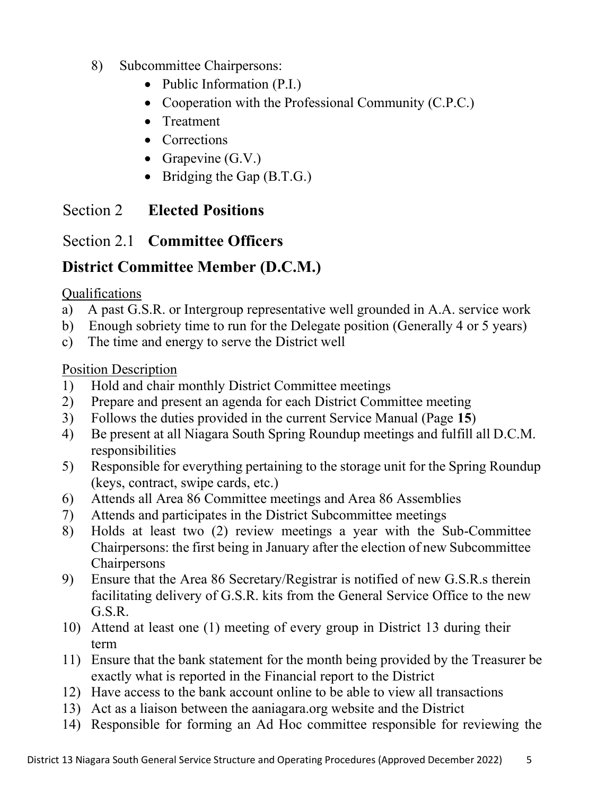- 8) Subcommittee Chairpersons:
	- Public Information (P.I.)
	- Cooperation with the Professional Community (C.P.C.)
	- Treatment
	- Corrections
	- Grapevine  $(G.V.)$
	- $\bullet$  Bridging the Gap (B.T.G.)

### Section 2 Elected Positions

## Section 2.1 Committee Officers

## District Committee Member (D.C.M.)

#### Qualifications

- a) A past G.S.R. or Intergroup representative well grounded in A.A. service work
- b) Enough sobriety time to run for the Delegate position (Generally 4 or 5 years)
- c) The time and energy to serve the District well

- 1) Hold and chair monthly District Committee meetings
- 2) Prepare and present an agenda for each District Committee meeting
- 3) Follows the duties provided in the current Service Manual (Page 15)
- 4) Be present at all Niagara South Spring Roundup meetings and fulfill all D.C.M. responsibilities
- 5) Responsible for everything pertaining to the storage unit for the Spring Roundup (keys, contract, swipe cards, etc.)
- 6) Attends all Area 86 Committee meetings and Area 86 Assemblies
- 7) Attends and participates in the District Subcommittee meetings
- 8) Holds at least two (2) review meetings a year with the Sub-Committee Chairpersons: the first being in January after the election of new Subcommittee Chairpersons
- 9) Ensure that the Area 86 Secretary/Registrar is notified of new G.S.R.s therein facilitating delivery of G.S.R. kits from the General Service Office to the new G.S.R.
- 10) Attend at least one (1) meeting of every group in District 13 during their term
- 11) Ensure that the bank statement for the month being provided by the Treasurer be exactly what is reported in the Financial report to the District
- 12) Have access to the bank account online to be able to view all transactions
- 13) Act as a liaison between the aaniagara.org website and the District
- 14) Responsible for forming an Ad Hoc committee responsible for reviewing the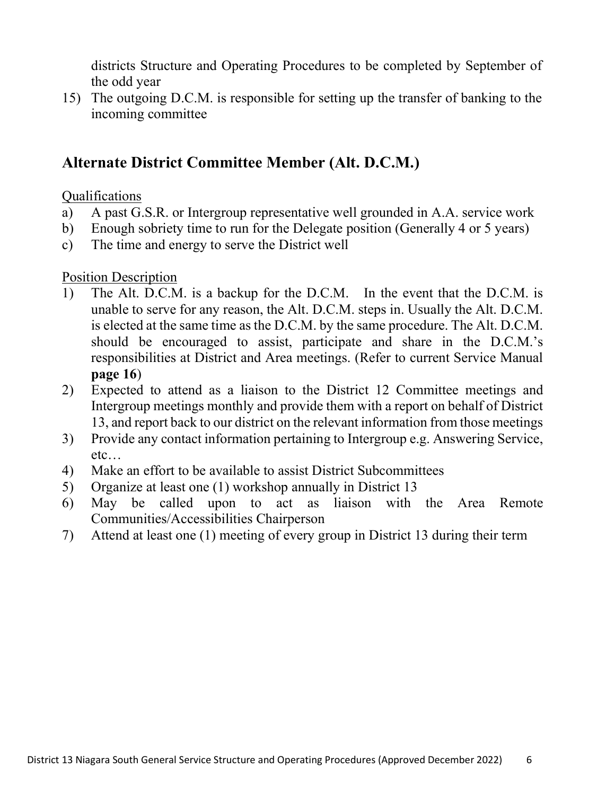districts Structure and Operating Procedures to be completed by September of the odd year

15) The outgoing D.C.M. is responsible for setting up the transfer of banking to the incoming committee

### Alternate District Committee Member (Alt. D.C.M.)

#### Qualifications

- a) A past G.S.R. or Intergroup representative well grounded in A.A. service work
- b) Enough sobriety time to run for the Delegate position (Generally 4 or 5 years)
- c) The time and energy to serve the District well

- 1) The Alt. D.C.M. is a backup for the D.C.M. In the event that the D.C.M. is unable to serve for any reason, the Alt. D.C.M. steps in. Usually the Alt. D.C.M. is elected at the same time as the D.C.M. by the same procedure. The Alt. D.C.M. should be encouraged to assist, participate and share in the D.C.M.'s responsibilities at District and Area meetings. (Refer to current Service Manual page 16)
- 2) Expected to attend as a liaison to the District 12 Committee meetings and Intergroup meetings monthly and provide them with a report on behalf of District 13, and report back to our district on the relevant information from those meetings
- 3) Provide any contact information pertaining to Intergroup e.g. Answering Service, etc…
- 4) Make an effort to be available to assist District Subcommittees
- 5) Organize at least one (1) workshop annually in District 13
- 6) May be called upon to act as liaison with the Area Remote Communities/Accessibilities Chairperson
- 7) Attend at least one (1) meeting of every group in District 13 during their term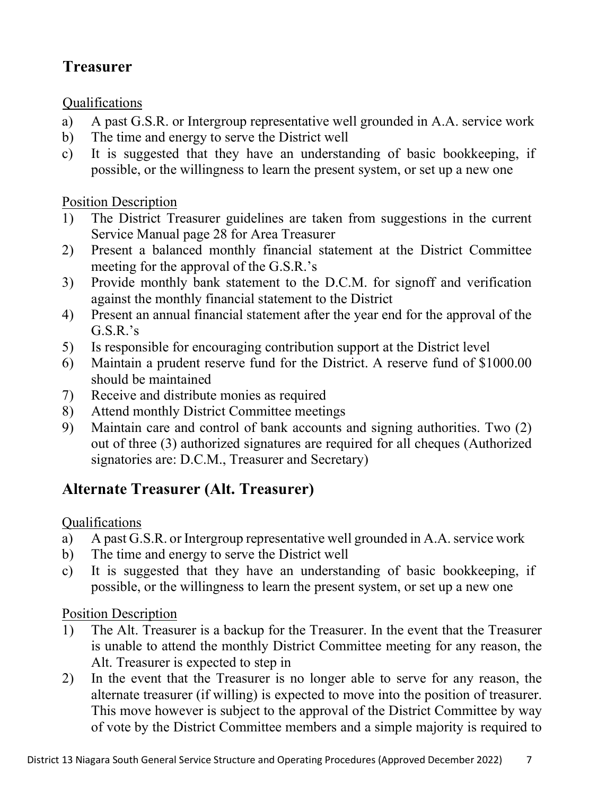## Treasurer

#### Qualifications

- a) A past G.S.R. or Intergroup representative well grounded in A.A. service work
- b) The time and energy to serve the District well
- c) It is suggested that they have an understanding of basic bookkeeping, if possible, or the willingness to learn the present system, or set up a new one

#### Position Description

- 1) The District Treasurer guidelines are taken from suggestions in the current Service Manual page 28 for Area Treasurer
- 2) Present a balanced monthly financial statement at the District Committee meeting for the approval of the G.S.R.'s
- 3) Provide monthly bank statement to the D.C.M. for signoff and verification against the monthly financial statement to the District
- 4) Present an annual financial statement after the year end for the approval of the  $G.S.R.'s$
- 5) Is responsible for encouraging contribution support at the District level
- 6) Maintain a prudent reserve fund for the District. A reserve fund of \$1000.00 should be maintained
- 7) Receive and distribute monies as required
- 8) Attend monthly District Committee meetings
- 9) Maintain care and control of bank accounts and signing authorities. Two (2) out of three (3) authorized signatures are required for all cheques (Authorized signatories are: D.C.M., Treasurer and Secretary)

## Alternate Treasurer (Alt. Treasurer)

#### Qualifications

- a) A past G.S.R. or Intergroup representative well grounded in A.A. service work
- b) The time and energy to serve the District well
- c) It is suggested that they have an understanding of basic bookkeeping, if possible, or the willingness to learn the present system, or set up a new one

- 1) The Alt. Treasurer is a backup for the Treasurer. In the event that the Treasurer is unable to attend the monthly District Committee meeting for any reason, the Alt. Treasurer is expected to step in
- 2) In the event that the Treasurer is no longer able to serve for any reason, the alternate treasurer (if willing) is expected to move into the position of treasurer. This move however is subject to the approval of the District Committee by way of vote by the District Committee members and a simple majority is required to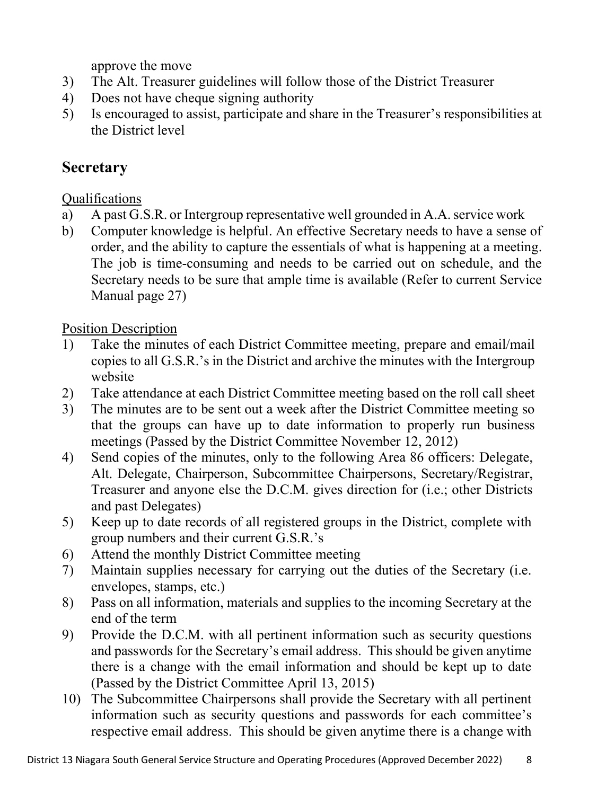approve the move

- 3) The Alt. Treasurer guidelines will follow those of the District Treasurer
- 4) Does not have cheque signing authority
- 5) Is encouraged to assist, participate and share in the Treasurer's responsibilities at the District level

### **Secretary**

#### Qualifications

- a) A past G.S.R. or Intergroup representative well grounded in A.A. service work
- b) Computer knowledge is helpful. An effective Secretary needs to have a sense of order, and the ability to capture the essentials of what is happening at a meeting. The job is time-consuming and needs to be carried out on schedule, and the Secretary needs to be sure that ample time is available (Refer to current Service Manual page 27)

- 1) Take the minutes of each District Committee meeting, prepare and email/mail copies to all G.S.R.'s in the District and archive the minutes with the Intergroup website
- 2) Take attendance at each District Committee meeting based on the roll call sheet
- 3) The minutes are to be sent out a week after the District Committee meeting so that the groups can have up to date information to properly run business meetings (Passed by the District Committee November 12, 2012)
- 4) Send copies of the minutes, only to the following Area 86 officers: Delegate, Alt. Delegate, Chairperson, Subcommittee Chairpersons, Secretary/Registrar, Treasurer and anyone else the D.C.M. gives direction for (i.e.; other Districts and past Delegates)
- 5) Keep up to date records of all registered groups in the District, complete with group numbers and their current G.S.R.'s
- 6) Attend the monthly District Committee meeting
- 7) Maintain supplies necessary for carrying out the duties of the Secretary (i.e. envelopes, stamps, etc.)
- 8) Pass on all information, materials and supplies to the incoming Secretary at the end of the term
- 9) Provide the D.C.M. with all pertinent information such as security questions and passwords for the Secretary's email address. This should be given anytime there is a change with the email information and should be kept up to date (Passed by the District Committee April 13, 2015)
- 10) The Subcommittee Chairpersons shall provide the Secretary with all pertinent information such as security questions and passwords for each committee's respective email address. This should be given anytime there is a change with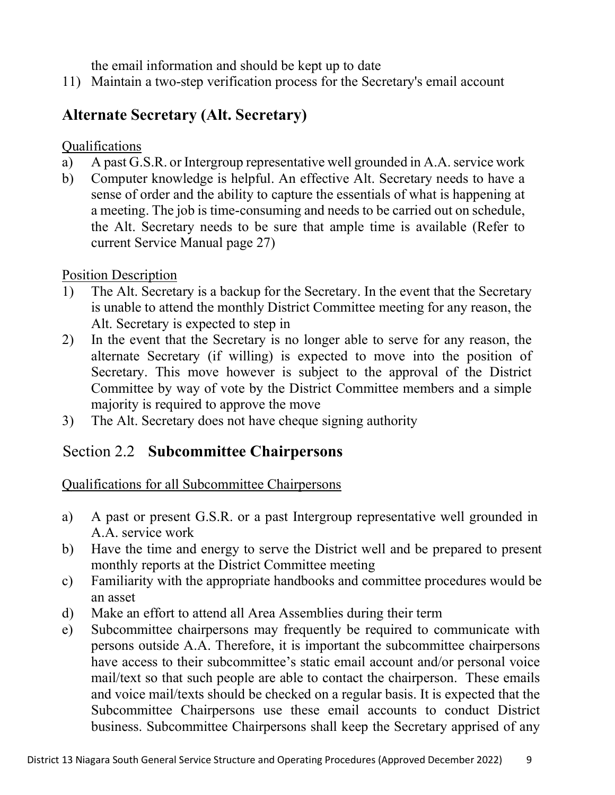the email information and should be kept up to date

11) Maintain a two-step verification process for the Secretary's email account

## Alternate Secretary (Alt. Secretary)

Qualifications

- a) A past G.S.R. or Intergroup representative well grounded in A.A. service work
- b) Computer knowledge is helpful. An effective Alt. Secretary needs to have a sense of order and the ability to capture the essentials of what is happening at a meeting. The job is time-consuming and needs to be carried out on schedule, the Alt. Secretary needs to be sure that ample time is available (Refer to current Service Manual page 27)

#### Position Description

- 1) The Alt. Secretary is a backup for the Secretary. In the event that the Secretary is unable to attend the monthly District Committee meeting for any reason, the Alt. Secretary is expected to step in
- 2) In the event that the Secretary is no longer able to serve for any reason, the alternate Secretary (if willing) is expected to move into the position of Secretary. This move however is subject to the approval of the District Committee by way of vote by the District Committee members and a simple majority is required to approve the move
- 3) The Alt. Secretary does not have cheque signing authority

## Section 2.2 Subcommittee Chairpersons

Qualifications for all Subcommittee Chairpersons

- a) A past or present G.S.R. or a past Intergroup representative well grounded in A.A. service work
- b) Have the time and energy to serve the District well and be prepared to present monthly reports at the District Committee meeting
- c) Familiarity with the appropriate handbooks and committee procedures would be an asset
- d) Make an effort to attend all Area Assemblies during their term
- e) Subcommittee chairpersons may frequently be required to communicate with persons outside A.A. Therefore, it is important the subcommittee chairpersons have access to their subcommittee's static email account and/or personal voice mail/text so that such people are able to contact the chairperson. These emails and voice mail/texts should be checked on a regular basis. It is expected that the Subcommittee Chairpersons use these email accounts to conduct District business. Subcommittee Chairpersons shall keep the Secretary apprised of any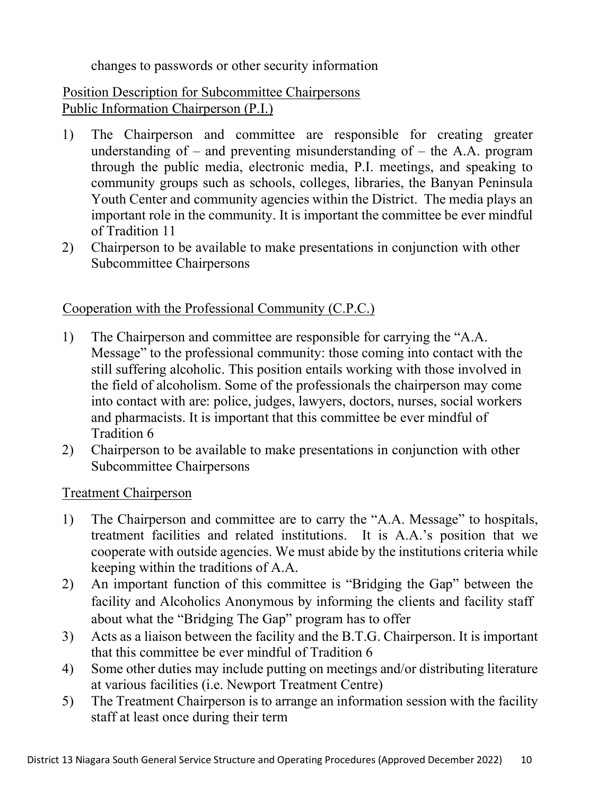changes to passwords or other security information

#### Position Description for Subcommittee Chairpersons Public Information Chairperson (P.I.)

- 1) The Chairperson and committee are responsible for creating greater understanding of  $-$  and preventing misunderstanding of  $-$  the A.A. program through the public media, electronic media, P.I. meetings, and speaking to community groups such as schools, colleges, libraries, the Banyan Peninsula Youth Center and community agencies within the District. The media plays an important role in the community. It is important the committee be ever mindful of Tradition 11
- 2) Chairperson to be available to make presentations in conjunction with other Subcommittee Chairpersons

#### Cooperation with the Professional Community (C.P.C.)

- 1) The Chairperson and committee are responsible for carrying the "A.A. Message" to the professional community: those coming into contact with the still suffering alcoholic. This position entails working with those involved in the field of alcoholism. Some of the professionals the chairperson may come into contact with are: police, judges, lawyers, doctors, nurses, social workers and pharmacists. It is important that this committee be ever mindful of Tradition 6
- 2) Chairperson to be available to make presentations in conjunction with other Subcommittee Chairpersons

#### Treatment Chairperson

- 1) The Chairperson and committee are to carry the "A.A. Message" to hospitals, treatment facilities and related institutions. It is A.A.'s position that we cooperate with outside agencies. We must abide by the institutions criteria while keeping within the traditions of A.A.
- 2) An important function of this committee is "Bridging the Gap" between the facility and Alcoholics Anonymous by informing the clients and facility staff about what the "Bridging The Gap" program has to offer
- 3) Acts as a liaison between the facility and the B.T.G. Chairperson. It is important that this committee be ever mindful of Tradition 6
- 4) Some other duties may include putting on meetings and/or distributing literature at various facilities (i.e. Newport Treatment Centre)
- 5) The Treatment Chairperson is to arrange an information session with the facility staff at least once during their term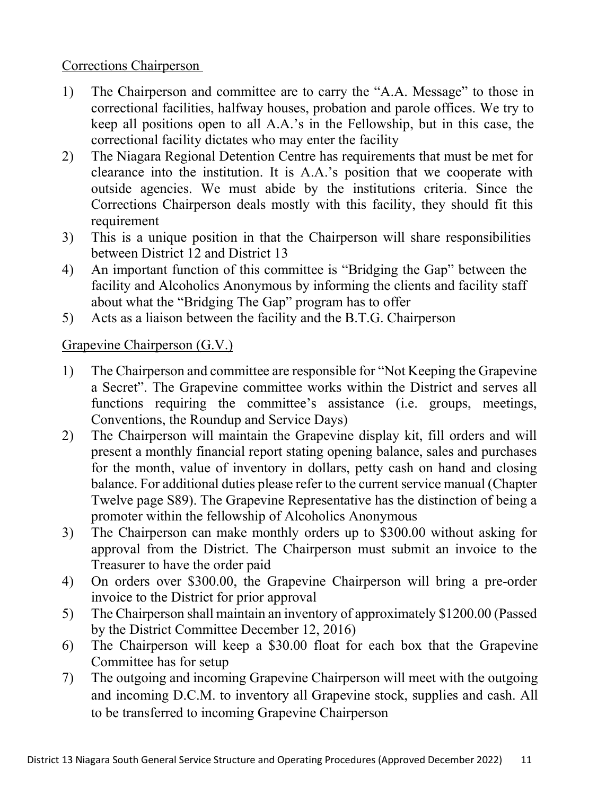#### Corrections Chairperson

- 1) The Chairperson and committee are to carry the "A.A. Message" to those in correctional facilities, halfway houses, probation and parole offices. We try to keep all positions open to all A.A.'s in the Fellowship, but in this case, the correctional facility dictates who may enter the facility
- 2) The Niagara Regional Detention Centre has requirements that must be met for clearance into the institution. It is A.A.'s position that we cooperate with outside agencies. We must abide by the institutions criteria. Since the Corrections Chairperson deals mostly with this facility, they should fit this requirement
- 3) This is a unique position in that the Chairperson will share responsibilities between District 12 and District 13
- 4) An important function of this committee is "Bridging the Gap" between the facility and Alcoholics Anonymous by informing the clients and facility staff about what the "Bridging The Gap" program has to offer
- 5) Acts as a liaison between the facility and the B.T.G. Chairperson

#### Grapevine Chairperson (G.V.)

- 1) The Chairperson and committee are responsible for "Not Keeping the Grapevine a Secret". The Grapevine committee works within the District and serves all functions requiring the committee's assistance (i.e. groups, meetings, Conventions, the Roundup and Service Days)
- 2) The Chairperson will maintain the Grapevine display kit, fill orders and will present a monthly financial report stating opening balance, sales and purchases for the month, value of inventory in dollars, petty cash on hand and closing balance. For additional duties please refer to the current service manual (Chapter Twelve page S89). The Grapevine Representative has the distinction of being a promoter within the fellowship of Alcoholics Anonymous
- 3) The Chairperson can make monthly orders up to \$300.00 without asking for approval from the District. The Chairperson must submit an invoice to the Treasurer to have the order paid
- 4) On orders over \$300.00, the Grapevine Chairperson will bring a pre-order invoice to the District for prior approval
- 5) The Chairperson shall maintain an inventory of approximately \$1200.00 (Passed by the District Committee December 12, 2016)
- 6) The Chairperson will keep a \$30.00 float for each box that the Grapevine Committee has for setup
- 7) The outgoing and incoming Grapevine Chairperson will meet with the outgoing and incoming D.C.M. to inventory all Grapevine stock, supplies and cash. All to be transferred to incoming Grapevine Chairperson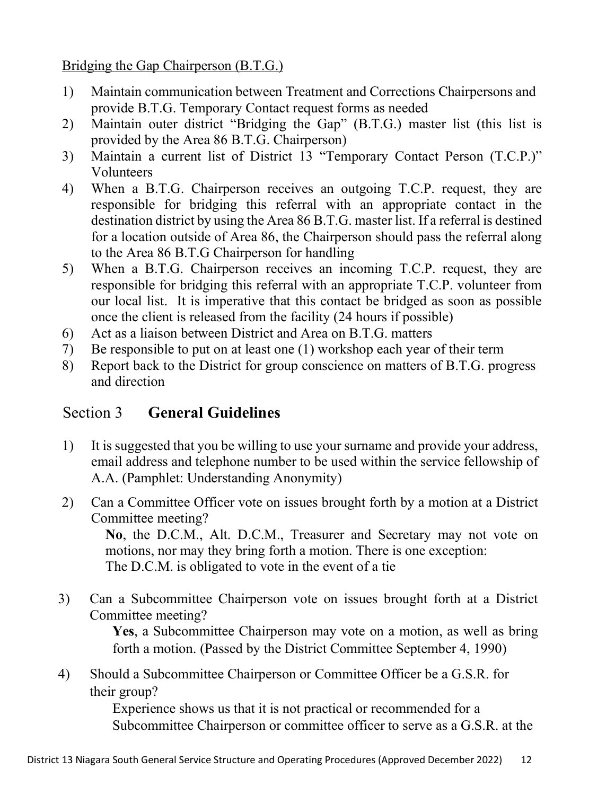Bridging the Gap Chairperson (B.T.G.)

- 1) Maintain communication between Treatment and Corrections Chairpersons and provide B.T.G. Temporary Contact request forms as needed
- 2) Maintain outer district "Bridging the Gap" (B.T.G.) master list (this list is provided by the Area 86 B.T.G. Chairperson)
- 3) Maintain a current list of District 13 "Temporary Contact Person (T.C.P.)" Volunteers
- 4) When a B.T.G. Chairperson receives an outgoing T.C.P. request, they are responsible for bridging this referral with an appropriate contact in the destination district by using the Area 86 B.T.G. master list. If a referral is destined for a location outside of Area 86, the Chairperson should pass the referral along to the Area 86 B.T.G Chairperson for handling
- 5) When a B.T.G. Chairperson receives an incoming T.C.P. request, they are responsible for bridging this referral with an appropriate T.C.P. volunteer from our local list. It is imperative that this contact be bridged as soon as possible once the client is released from the facility (24 hours if possible)
- 6) Act as a liaison between District and Area on B.T.G. matters
- 7) Be responsible to put on at least one (1) workshop each year of their term
- 8) Report back to the District for group conscience on matters of B.T.G. progress and direction

## Section 3 General Guidelines

- 1) It is suggested that you be willing to use your surname and provide your address, email address and telephone number to be used within the service fellowship of A.A. (Pamphlet: Understanding Anonymity)
- 2) Can a Committee Officer vote on issues brought forth by a motion at a District Committee meeting?

No, the D.C.M., Alt. D.C.M., Treasurer and Secretary may not vote on motions, nor may they bring forth a motion. There is one exception: The D.C.M. is obligated to vote in the event of a tie

3) Can a Subcommittee Chairperson vote on issues brought forth at a District Committee meeting?

Yes, a Subcommittee Chairperson may vote on a motion, as well as bring forth a motion. (Passed by the District Committee September 4, 1990)

4) Should a Subcommittee Chairperson or Committee Officer be a G.S.R. for their group?

> Experience shows us that it is not practical or recommended for a Subcommittee Chairperson or committee officer to serve as a G.S.R. at the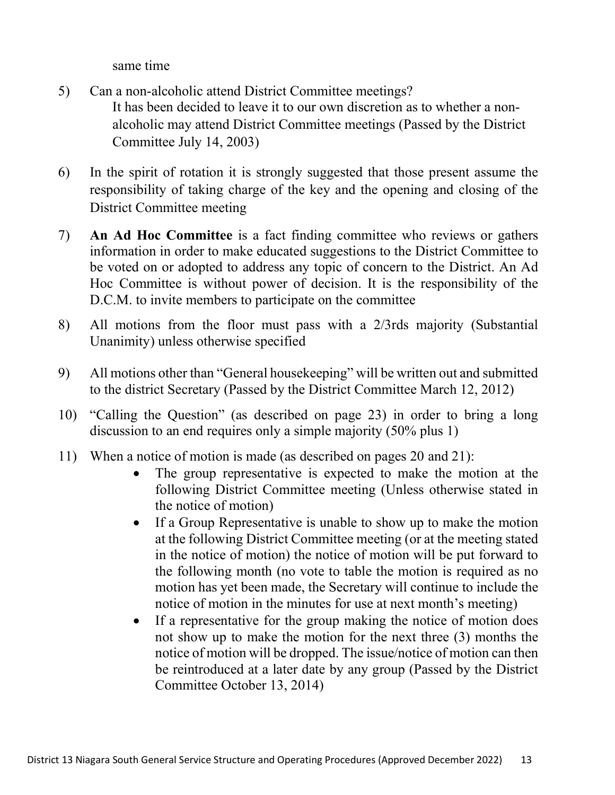same time

- 5) Can a non-alcoholic attend District Committee meetings? It has been decided to leave it to our own discretion as to whether a nonalcoholic may attend District Committee meetings (Passed by the District Committee July 14, 2003)
- 6) In the spirit of rotation it is strongly suggested that those present assume the responsibility of taking charge of the key and the opening and closing of the District Committee meeting
- 7) An Ad Hoc Committee is a fact finding committee who reviews or gathers information in order to make educated suggestions to the District Committee to be voted on or adopted to address any topic of concern to the District. An Ad Hoc Committee is without power of decision. It is the responsibility of the D.C.M. to invite members to participate on the committee
- 8) All motions from the floor must pass with a 2/3rds majority (Substantial Unanimity) unless otherwise specified
- 9) All motions other than "General housekeeping" will be written out and submitted to the district Secretary (Passed by the District Committee March 12, 2012)
- 10) "Calling the Question" (as described on page 23) in order to bring a long discussion to an end requires only a simple majority (50% plus 1)
- 11) When a notice of motion is made (as described on pages 20 and 21):
	- The group representative is expected to make the motion at the following District Committee meeting (Unless otherwise stated in the notice of motion)
	- If a Group Representative is unable to show up to make the motion at the following District Committee meeting (or at the meeting stated in the notice of motion) the notice of motion will be put forward to the following month (no vote to table the motion is required as no motion has yet been made, the Secretary will continue to include the notice of motion in the minutes for use at next month's meeting)
	- If a representative for the group making the notice of motion does not show up to make the motion for the next three (3) months the notice of motion will be dropped. The issue/notice of motion can then be reintroduced at a later date by any group (Passed by the District Committee October 13, 2014)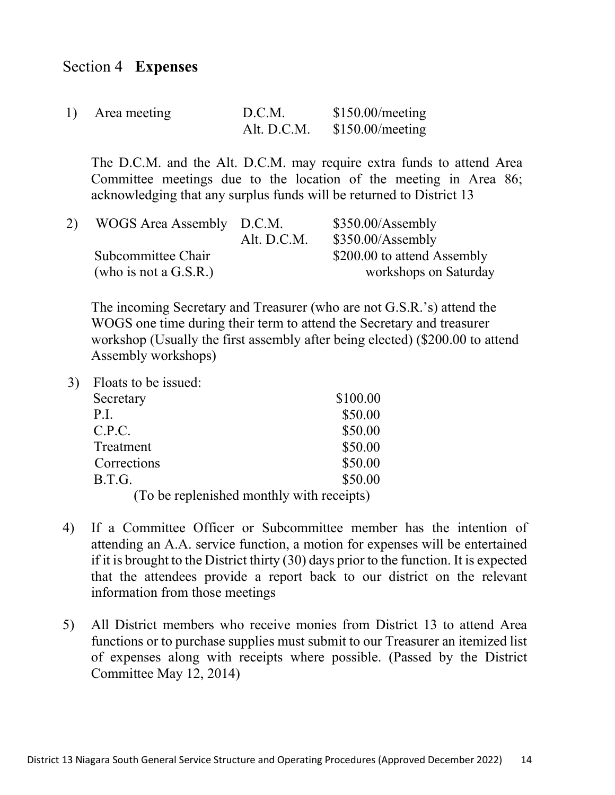#### Section 4 Expenses

| 1) Area meeting | D.C.M. | \$150.00/mecting              |
|-----------------|--------|-------------------------------|
|                 |        | Alt. D.C.M. $$150.00/mecting$ |

The D.C.M. and the Alt. D.C.M. may require extra funds to attend Area Committee meetings due to the location of the meeting in Area 86; acknowledging that any surplus funds will be returned to District 13

| WOGS Area Assembly D.C.M. | Alt. D.C.M. | $$350.00/A$ ssembly<br>$$350.00/A$ ssembly |
|---------------------------|-------------|--------------------------------------------|
|                           |             |                                            |
| Subcommittee Chair        |             | \$200.00 to attend Assembly                |
| (who is not a $G.S.R.$ )  |             | workshops on Saturday                      |

The incoming Secretary and Treasurer (who are not G.S.R.'s) attend the WOGS one time during their term to attend the Secretary and treasurer workshop (Usually the first assembly after being elected) (\$200.00 to attend Assembly workshops)

3) Floats to be issued:

| Secretary                                 | \$100.00 |  |
|-------------------------------------------|----------|--|
| P.I.                                      | \$50.00  |  |
| C.P.C.                                    | \$50.00  |  |
| Treatment                                 | \$50.00  |  |
| Corrections                               | \$50.00  |  |
| B.T.G.                                    | \$50.00  |  |
| (To be replenished monthly with receipts) |          |  |

- 4) If a Committee Officer or Subcommittee member has the intention of attending an A.A. service function, a motion for expenses will be entertained if it is brought to the District thirty (30) days prior to the function. It is expected that the attendees provide a report back to our district on the relevant information from those meetings
- 5) All District members who receive monies from District 13 to attend Area functions or to purchase supplies must submit to our Treasurer an itemized list of expenses along with receipts where possible. (Passed by the District Committee May 12, 2014)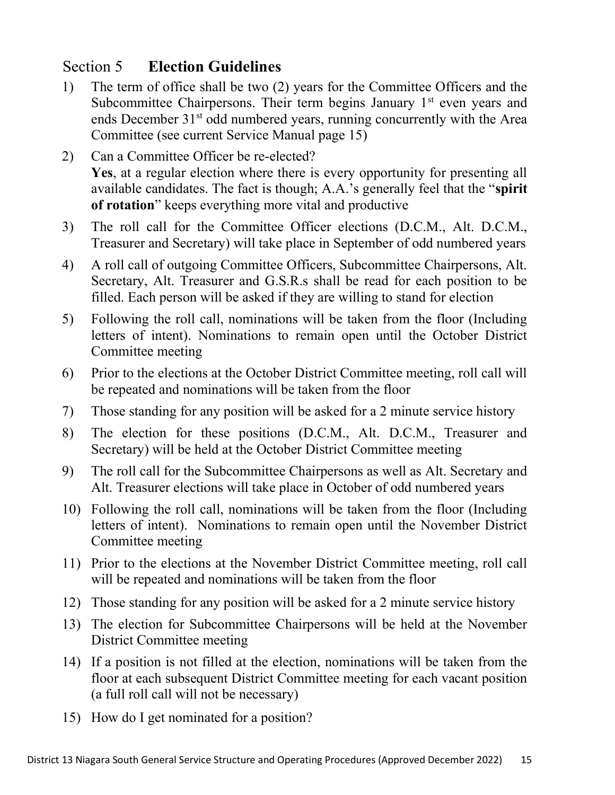## Section 5 Election Guidelines

- 1) The term of office shall be two (2) years for the Committee Officers and the Subcommittee Chairpersons. Their term begins January  $1<sup>st</sup>$  even years and ends December 31<sup>st</sup> odd numbered years, running concurrently with the Area Committee (see current Service Manual page 15)
- 2) Can a Committee Officer be re-elected? Yes, at a regular election where there is every opportunity for presenting all available candidates. The fact is though; A.A.'s generally feel that the "spirit of rotation" keeps everything more vital and productive
- 3) The roll call for the Committee Officer elections (D.C.M., Alt. D.C.M., Treasurer and Secretary) will take place in September of odd numbered years
- 4) A roll call of outgoing Committee Officers, Subcommittee Chairpersons, Alt. Secretary, Alt. Treasurer and G.S.R.s shall be read for each position to be filled. Each person will be asked if they are willing to stand for election
- 5) Following the roll call, nominations will be taken from the floor (Including letters of intent). Nominations to remain open until the October District Committee meeting
- 6) Prior to the elections at the October District Committee meeting, roll call will be repeated and nominations will be taken from the floor
- 7) Those standing for any position will be asked for a 2 minute service history
- 8) The election for these positions (D.C.M., Alt. D.C.M., Treasurer and Secretary) will be held at the October District Committee meeting
- 9) The roll call for the Subcommittee Chairpersons as well as Alt. Secretary and Alt. Treasurer elections will take place in October of odd numbered years
- 10) Following the roll call, nominations will be taken from the floor (Including letters of intent). Nominations to remain open until the November District Committee meeting
- 11) Prior to the elections at the November District Committee meeting, roll call will be repeated and nominations will be taken from the floor
- 12) Those standing for any position will be asked for a 2 minute service history
- 13) The election for Subcommittee Chairpersons will be held at the November District Committee meeting
- 14) If a position is not filled at the election, nominations will be taken from the floor at each subsequent District Committee meeting for each vacant position (a full roll call will not be necessary)
- 15) How do I get nominated for a position?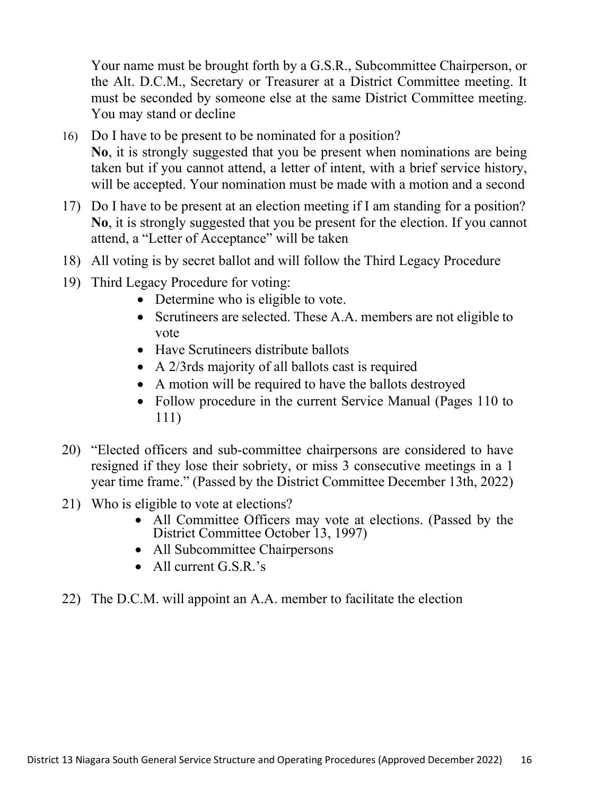Your name must be brought forth by a G.S.R., Subcommittee Chairperson, or the Alt. D.C.M., Secretary or Treasurer at a District Committee meeting. It must be seconded by someone else at the same District Committee meeting. You may stand or decline

- 16) Do I have to be present to be nominated for a position? No, it is strongly suggested that you be present when nominations are being taken but if you cannot attend, a letter of intent, with a brief service history, will be accepted. Your nomination must be made with a motion and a second
- 17) Do I have to be present at an election meeting if I am standing for a position? No, it is strongly suggested that you be present for the election. If you cannot attend, a "Letter of Acceptance" will be taken
- 18) All voting is by secret ballot and will follow the Third Legacy Procedure
- 19) Third Legacy Procedure for voting:
	- Determine who is eligible to vote.
	- Scrutineers are selected. These A.A. members are not eligible to vote
	- Have Scrutineers distribute ballots
	- A 2/3rds majority of all ballots cast is required
	- A motion will be required to have the ballots destroyed
	- Follow procedure in the current Service Manual (Pages 110 to 111)
- 20) "Elected officers and sub-committee chairpersons are considered to have resigned if they lose their sobriety, or miss 3 consecutive meetings in a 1 year time frame." (Passed by the District Committee December 13th, 2022)
- 21) Who is eligible to vote at elections?
	- All Committee Officers may vote at elections. (Passed by the District Committee October 13, 1997)
	- All Subcommittee Chairpersons
	- All current G.S.R.'s
- 22) The D.C.M. will appoint an A.A. member to facilitate the election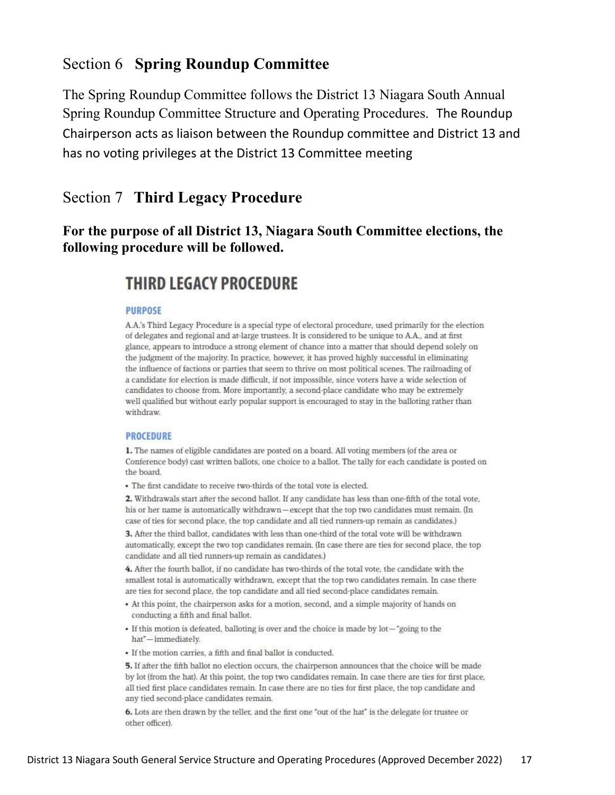#### Section 6 Spring Roundup Committee

The Spring Roundup Committee follows the District 13 Niagara South Annual Spring Roundup Committee Structure and Operating Procedures. The Roundup Chairperson acts as liaison between the Roundup committee and District 13 and has no voting privileges at the District 13 Committee meeting

### Section 7 Third Legacy Procedure

#### For the purpose of all District 13, Niagara South Committee elections, the following procedure will be followed.

## **THIRD LEGACY PROCEDURE**

#### **PURPOSE**

A.A.'s Third Legacy Procedure is a special type of electoral procedure, used primarily for the election of delegates and regional and at-large trustees. It is considered to be unique to A.A., and at first glance, appears to introduce a strong element of chance into a matter that should depend solely on the judgment of the majority. In practice, however, it has proved highly successful in eliminating the influence of factions or parties that seem to thrive on most political scenes. The railroading of a candidate for election is made difficult, if not impossible, since voters have a wide selection of candidates to choose from. More importantly, a second-place candidate who may be extremely well qualified but without early popular support is encouraged to stay in the balloting rather than withdraw.

#### **PROCEDURE**

1. The names of eligible candidates are posted on a board. All voting members (of the area or Conference body) cast written ballots, one choice to a ballot. The tally for each candidate is posted on the board.

· The first candidate to receive two-thirds of the total vote is elected.

2. Withdrawals start after the second ballot. If any candidate has less than one-fifth of the total vote, his or her name is automatically withdrawn-except that the top two candidates must remain. (In case of ties for second place, the top candidate and all tied runners-up remain as candidates.)

3. After the third ballot, candidates with less than one-third of the total vote will be withdrawn automatically, except the two top candidates remain. (In case there are ties for second place, the top candidate and all tied runners-up remain as candidates.)

4. After the fourth ballot, if no candidate has two-thirds of the total vote, the candidate with the smallest total is automatically withdrawn, except that the top two candidates remain. In case there are ties for second place, the top candidate and all tied second-place candidates remain.

- At this point, the chairperson asks for a motion, second, and a simple majority of hands on conducting a fifth and final ballot.
- If this motion is defeated, balloting is over and the choice is made by lot-"going to the hat"-immediately.
- · If the motion carries, a fifth and final ballot is conducted.

5. If after the fifth ballot no election occurs, the chairperson announces that the choice will be made by lot (from the hat). At this point, the top two candidates remain. In case there are ties for first place, all tied first place candidates remain. In case there are no ties for first place, the top candidate and any tied second-place candidates remain.

6. Lots are then drawn by the teller, and the first one "out of the hat" is the delegate (or trustee or other officer).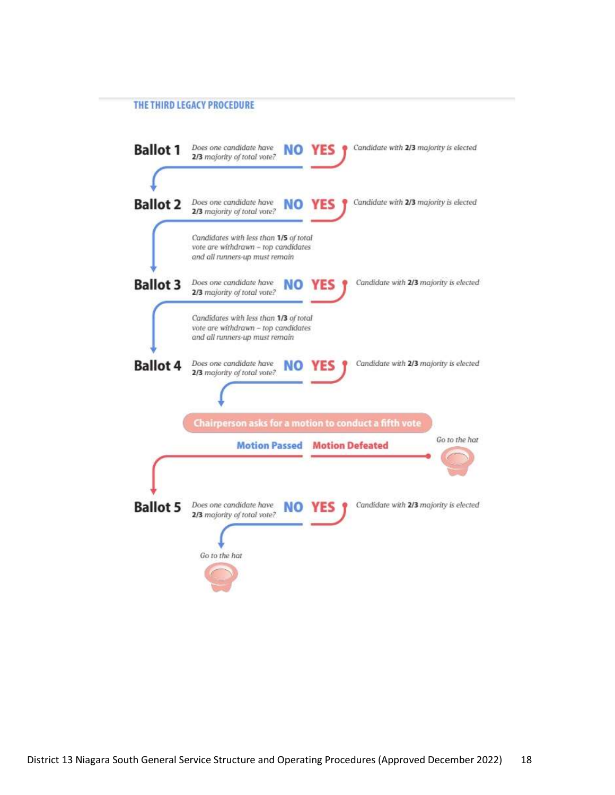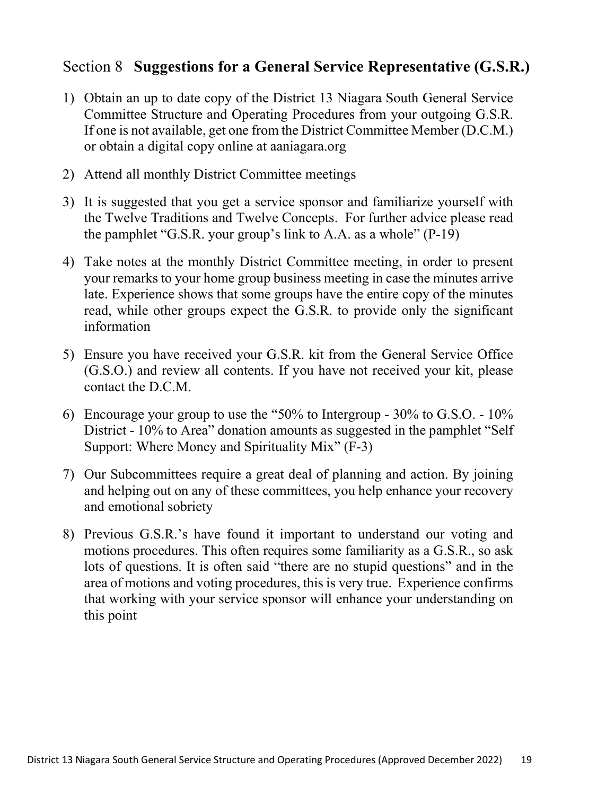#### Section 8 Suggestions for a General Service Representative (G.S.R.)

- 1) Obtain an up to date copy of the District 13 Niagara South General Service Committee Structure and Operating Procedures from your outgoing G.S.R. If one is not available, get one from the District Committee Member (D.C.M.) or obtain a digital copy online at aaniagara.org
- 2) Attend all monthly District Committee meetings
- 3) It is suggested that you get a service sponsor and familiarize yourself with the Twelve Traditions and Twelve Concepts. For further advice please read the pamphlet "G.S.R. your group's link to A.A. as a whole" (P-19)
- 4) Take notes at the monthly District Committee meeting, in order to present your remarks to your home group business meeting in case the minutes arrive late. Experience shows that some groups have the entire copy of the minutes read, while other groups expect the G.S.R. to provide only the significant information
- 5) Ensure you have received your G.S.R. kit from the General Service Office (G.S.O.) and review all contents. If you have not received your kit, please contact the D.C.M.
- 6) Encourage your group to use the "50% to Intergroup 30% to G.S.O. 10% District - 10% to Area" donation amounts as suggested in the pamphlet "Self" Support: Where Money and Spirituality Mix" (F-3)
- 7) Our Subcommittees require a great deal of planning and action. By joining and helping out on any of these committees, you help enhance your recovery and emotional sobriety
- 8) Previous G.S.R.'s have found it important to understand our voting and motions procedures. This often requires some familiarity as a G.S.R., so ask lots of questions. It is often said "there are no stupid questions" and in the area of motions and voting procedures, this is very true. Experience confirms that working with your service sponsor will enhance your understanding on this point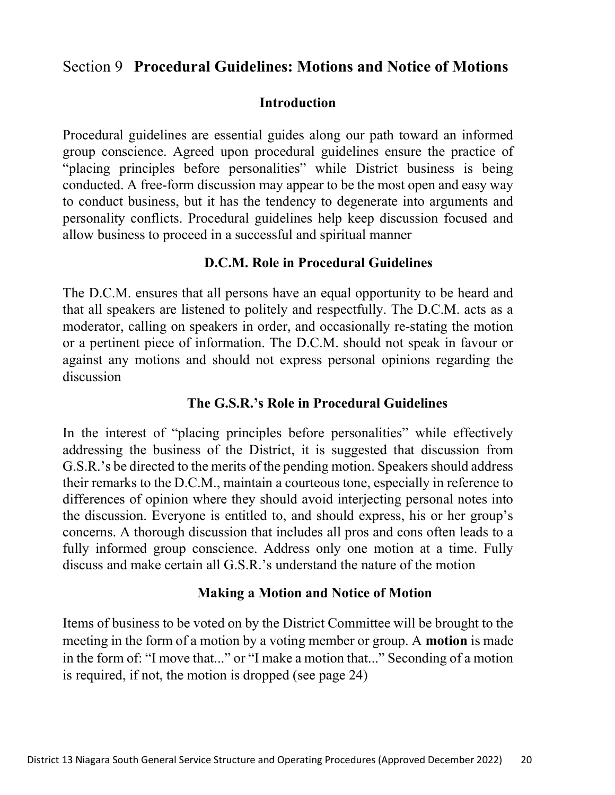#### Section 9 Procedural Guidelines: Motions and Notice of Motions

#### Introduction

Procedural guidelines are essential guides along our path toward an informed group conscience. Agreed upon procedural guidelines ensure the practice of "placing principles before personalities" while District business is being conducted. A free-form discussion may appear to be the most open and easy way to conduct business, but it has the tendency to degenerate into arguments and personality conflicts. Procedural guidelines help keep discussion focused and allow business to proceed in a successful and spiritual manner

#### D.C.M. Role in Procedural Guidelines

The D.C.M. ensures that all persons have an equal opportunity to be heard and that all speakers are listened to politely and respectfully. The D.C.M. acts as a moderator, calling on speakers in order, and occasionally re-stating the motion or a pertinent piece of information. The D.C.M. should not speak in favour or against any motions and should not express personal opinions regarding the discussion

#### The G.S.R.'s Role in Procedural Guidelines

In the interest of "placing principles before personalities" while effectively addressing the business of the District, it is suggested that discussion from G.S.R.'s be directed to the merits of the pending motion. Speakers should address their remarks to the D.C.M., maintain a courteous tone, especially in reference to differences of opinion where they should avoid interjecting personal notes into the discussion. Everyone is entitled to, and should express, his or her group's concerns. A thorough discussion that includes all pros and cons often leads to a fully informed group conscience. Address only one motion at a time. Fully discuss and make certain all G.S.R.'s understand the nature of the motion

#### Making a Motion and Notice of Motion

Items of business to be voted on by the District Committee will be brought to the meeting in the form of a motion by a voting member or group. A **motion** is made in the form of: "I move that..." or "I make a motion that..." Seconding of a motion is required, if not, the motion is dropped (see page 24)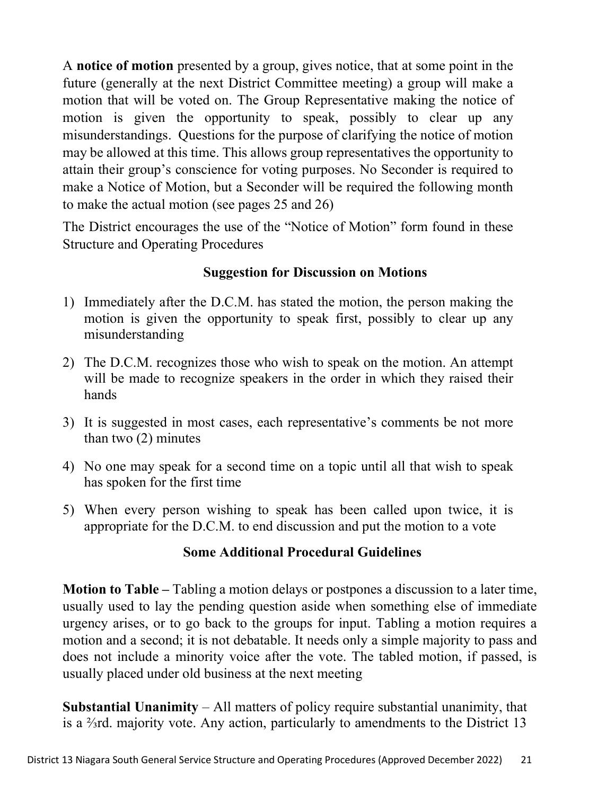A notice of motion presented by a group, gives notice, that at some point in the future (generally at the next District Committee meeting) a group will make a motion that will be voted on. The Group Representative making the notice of motion is given the opportunity to speak, possibly to clear up any misunderstandings. Questions for the purpose of clarifying the notice of motion may be allowed at this time. This allows group representatives the opportunity to attain their group's conscience for voting purposes. No Seconder is required to make a Notice of Motion, but a Seconder will be required the following month to make the actual motion (see pages 25 and 26)

The District encourages the use of the "Notice of Motion" form found in these Structure and Operating Procedures

#### Suggestion for Discussion on Motions

- 1) Immediately after the D.C.M. has stated the motion, the person making the motion is given the opportunity to speak first, possibly to clear up any misunderstanding
- 2) The D.C.M. recognizes those who wish to speak on the motion. An attempt will be made to recognize speakers in the order in which they raised their hands
- 3) It is suggested in most cases, each representative's comments be not more than two (2) minutes
- 4) No one may speak for a second time on a topic until all that wish to speak has spoken for the first time
- 5) When every person wishing to speak has been called upon twice, it is appropriate for the D.C.M. to end discussion and put the motion to a vote

#### Some Additional Procedural Guidelines

Motion to Table – Tabling a motion delays or postpones a discussion to a later time, usually used to lay the pending question aside when something else of immediate urgency arises, or to go back to the groups for input. Tabling a motion requires a motion and a second; it is not debatable. It needs only a simple majority to pass and does not include a minority voice after the vote. The tabled motion, if passed, is usually placed under old business at the next meeting

**Substantial Unanimity** – All matters of policy require substantial unanimity, that is a ⅔rd. majority vote. Any action, particularly to amendments to the District 13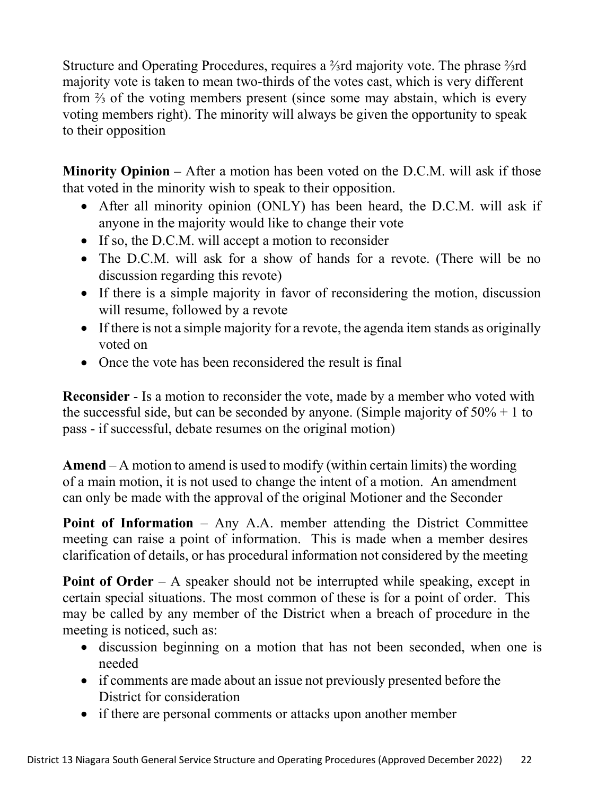Structure and Operating Procedures, requires a ⅔rd majority vote. The phrase ⅔rd majority vote is taken to mean two-thirds of the votes cast, which is very different from <sup>2</sup>/<sub>3</sub> of the voting members present (since some may abstain, which is every voting members right). The minority will always be given the opportunity to speak to their opposition

Minority Opinion – After a motion has been voted on the D.C.M. will ask if those that voted in the minority wish to speak to their opposition.

- After all minority opinion (ONLY) has been heard, the D.C.M. will ask if anyone in the majority would like to change their vote
- If so, the D.C.M. will accept a motion to reconsider
- The D.C.M. will ask for a show of hands for a revote. (There will be no discussion regarding this revote)
- If there is a simple majority in favor of reconsidering the motion, discussion will resume, followed by a revote
- If there is not a simple majority for a revote, the agenda item stands as originally voted on
- Once the vote has been reconsidered the result is final

Reconsider - Is a motion to reconsider the vote, made by a member who voted with the successful side, but can be seconded by anyone. (Simple majority of  $50\% + 1$  to pass - if successful, debate resumes on the original motion)

Amend – A motion to amend is used to modify (within certain limits) the wording of a main motion, it is not used to change the intent of a motion. An amendment can only be made with the approval of the original Motioner and the Seconder

Point of Information – Any A.A. member attending the District Committee meeting can raise a point of information. This is made when a member desires clarification of details, or has procedural information not considered by the meeting

Point of Order – A speaker should not be interrupted while speaking, except in certain special situations. The most common of these is for a point of order. This may be called by any member of the District when a breach of procedure in the meeting is noticed, such as:

- discussion beginning on a motion that has not been seconded, when one is needed
- if comments are made about an issue not previously presented before the District for consideration
- if there are personal comments or attacks upon another member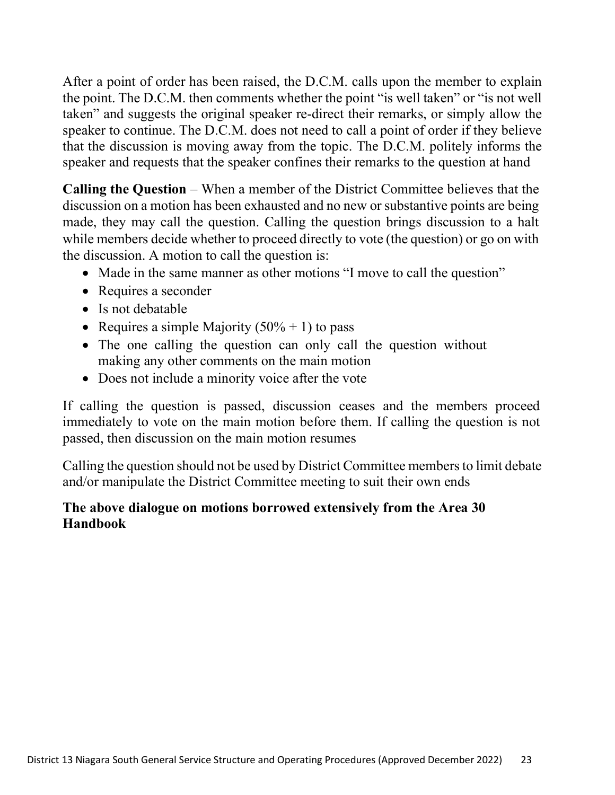After a point of order has been raised, the D.C.M. calls upon the member to explain the point. The D.C.M. then comments whether the point "is well taken" or "is not well taken" and suggests the original speaker re-direct their remarks, or simply allow the speaker to continue. The D.C.M. does not need to call a point of order if they believe that the discussion is moving away from the topic. The D.C.M. politely informs the speaker and requests that the speaker confines their remarks to the question at hand

Calling the Question – When a member of the District Committee believes that the discussion on a motion has been exhausted and no new or substantive points are being made, they may call the question. Calling the question brings discussion to a halt while members decide whether to proceed directly to vote (the question) or go on with the discussion. A motion to call the question is:

- Made in the same manner as other motions "I move to call the question"
- Requires a seconder
- Is not debatable
- Requires a simple Majority  $(50\% + 1)$  to pass
- The one calling the question can only call the question without making any other comments on the main motion
- Does not include a minority voice after the vote

If calling the question is passed, discussion ceases and the members proceed immediately to vote on the main motion before them. If calling the question is not passed, then discussion on the main motion resumes

Calling the question should not be used by District Committee members to limit debate and/or manipulate the District Committee meeting to suit their own ends

#### The above dialogue on motions borrowed extensively from the Area 30 Handbook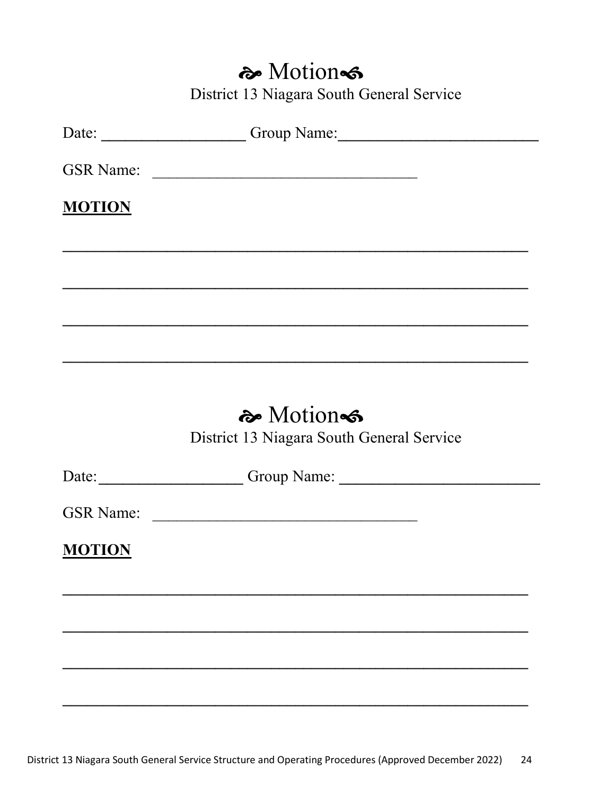## a Motions

District 13 Niagara South General Service

|               | Date: Croup Name: Croup Name:                         |
|---------------|-------------------------------------------------------|
|               | GSR Name:                                             |
| <b>MOTION</b> |                                                       |
|               |                                                       |
|               |                                                       |
|               |                                                       |
|               | � Motion<br>District 13 Niagara South General Service |
|               | Date: Croup Name: Croup Name:                         |
|               |                                                       |
| <b>MOTION</b> |                                                       |
|               |                                                       |
|               |                                                       |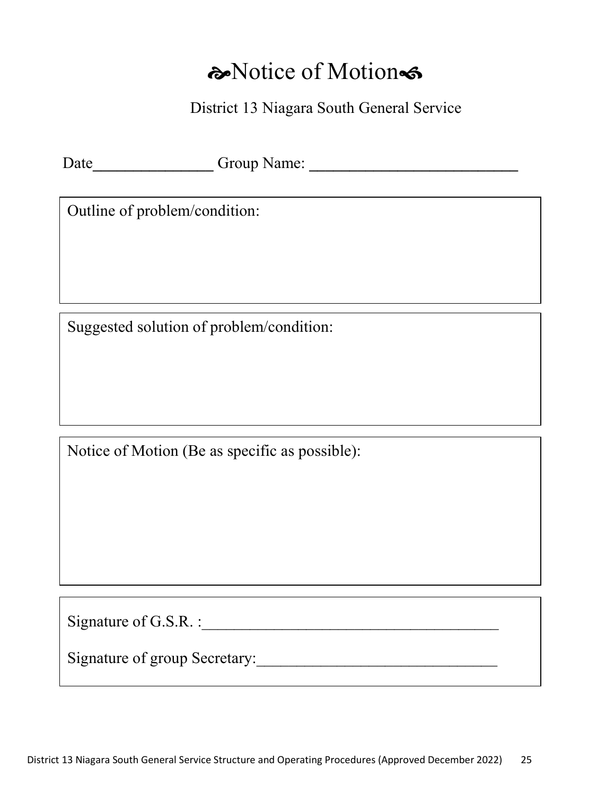## a Notice of Motion

District 13 Niagara South General Service

Date\_\_\_\_\_\_\_\_\_\_\_\_\_\_\_ Group Name: \_\_\_\_\_\_\_\_\_\_\_\_\_\_\_\_\_\_\_\_\_\_\_\_\_\_

Outline of problem/condition:

Suggested solution of problem/condition:

Notice of Motion (Be as specific as possible):

Signature of G.S.R. :\_\_\_\_\_\_\_\_\_\_\_\_\_\_\_\_\_\_\_\_\_\_\_\_\_\_\_\_\_\_\_\_\_\_\_\_\_

Signature of group Secretary: